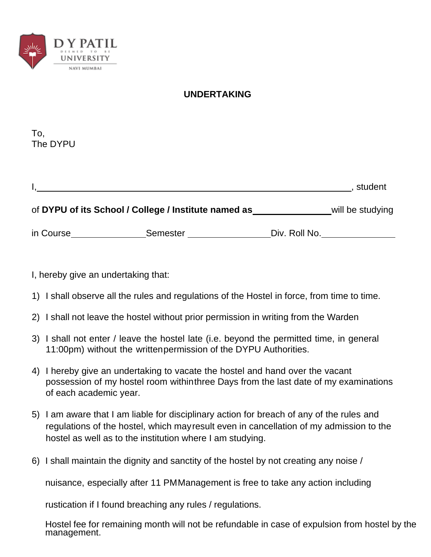

## **UNDERTAKING**

To, The DYPU

|           |                                                      |               | student          |
|-----------|------------------------------------------------------|---------------|------------------|
|           | of DYPU of its School / College / Institute named as |               | will be studying |
| in Course | <b>Semester</b>                                      | Div. Roll No. |                  |

I, hereby give an undertaking that:

- 1) I shall observe all the rules and regulations of the Hostel in force, from time to time.
- 2) I shall not leave the hostel without prior permission in writing from the Warden
- 3) I shall not enter / leave the hostel late (i.e. beyond the permitted time, in general 11:00pm) without the writtenpermission of the DYPU Authorities.
- 4) I hereby give an undertaking to vacate the hostel and hand over the vacant possession of my hostel room withinthree Days from the last date of my examinations of each academic year.
- 5) I am aware that I am liable for disciplinary action for breach of any of the rules and regulations of the hostel, which mayresult even in cancellation of my admission to the hostel as well as to the institution where I am studying.
- 6) I shall maintain the dignity and sanctity of the hostel by not creating any noise /

nuisance, especially after 11 PMManagement is free to take any action including

rustication if I found breaching any rules / regulations.

Hostel fee for remaining month will not be refundable in case of expulsion from hostel by the management.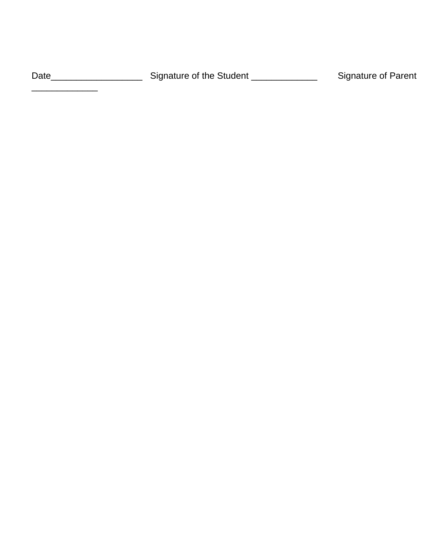Date\_\_\_\_\_\_\_\_\_\_\_\_\_\_\_\_\_\_\_\_\_\_\_\_\_\_\_Signature of the Student \_\_\_\_\_\_\_\_\_\_\_\_\_\_\_\_\_\_\_\_\_\_\_\_Signature of Parent

\_\_\_\_\_\_\_\_\_\_\_\_\_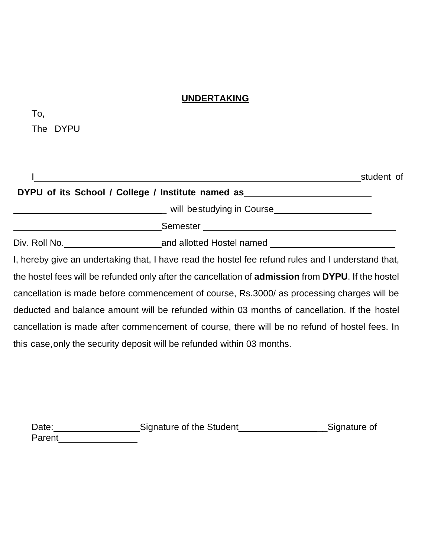## **UNDERTAKING**

| _<br>--<br>٧<br>×<br>۰,<br>۰.<br>× |
|------------------------------------|
|------------------------------------|

The DYPU

|                                                                                                                   | student of |
|-------------------------------------------------------------------------------------------------------------------|------------|
| DYPU of its School / College / Institute named as ______________________________                                  |            |
|                                                                                                                   |            |
|                                                                                                                   |            |
|                                                                                                                   |            |
| I, hereby give an undertaking that, I have read the hostel fee refund rules and I understand that,                |            |
| the hostel fees will be refunded only after the cancellation of <b>admission</b> from <b>DYPU</b> . If the hostel |            |
| cancellation is made before commencement of course, Rs.3000/ as processing charges will be                        |            |
| deducted and balance amount will be refunded within 03 months of cancellation. If the hostel                      |            |
| cancellation is made after commencement of course, there will be no refund of hostel fees. In                     |            |
| this case, only the security deposit will be refunded within 03 months.                                           |            |
|                                                                                                                   |            |

| Date:  | Signature of the Student | Signature of |
|--------|--------------------------|--------------|
| Parent |                          |              |